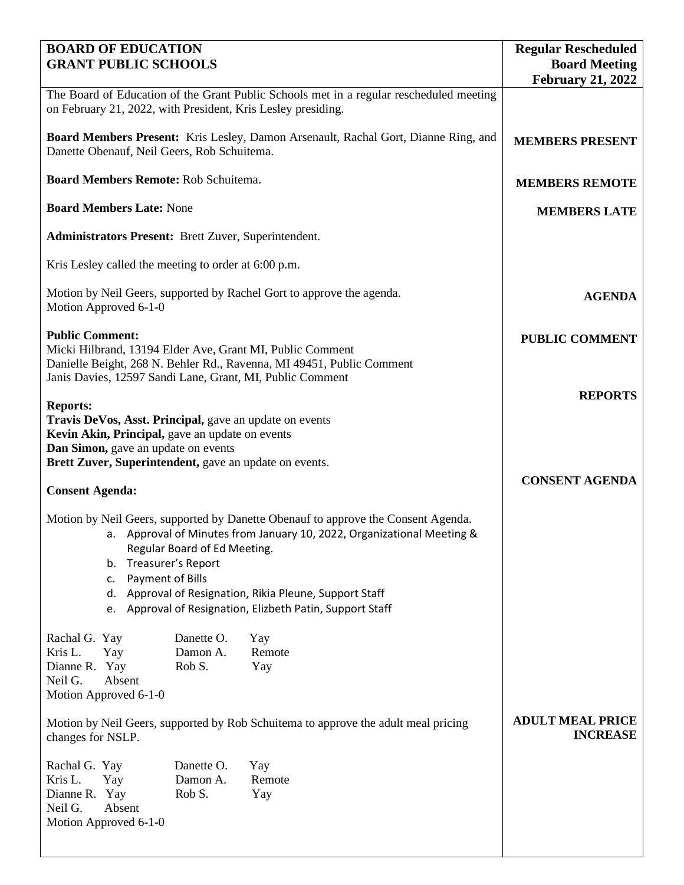| <b>BOARD OF EDUCATION</b>                                                                                                                                                                                                                                                                                                                                                       |                                            | <b>Regular Rescheduled</b>                       |
|---------------------------------------------------------------------------------------------------------------------------------------------------------------------------------------------------------------------------------------------------------------------------------------------------------------------------------------------------------------------------------|--------------------------------------------|--------------------------------------------------|
| <b>GRANT PUBLIC SCHOOLS</b>                                                                                                                                                                                                                                                                                                                                                     |                                            | <b>Board Meeting</b><br><b>February 21, 2022</b> |
| The Board of Education of the Grant Public Schools met in a regular rescheduled meeting<br>on February 21, 2022, with President, Kris Lesley presiding.                                                                                                                                                                                                                         |                                            |                                                  |
| Board Members Present: Kris Lesley, Damon Arsenault, Rachal Gort, Dianne Ring, and<br>Danette Obenauf, Neil Geers, Rob Schuitema.                                                                                                                                                                                                                                               | <b>MEMBERS PRESENT</b>                     |                                                  |
| <b>Board Members Remote: Rob Schuitema.</b>                                                                                                                                                                                                                                                                                                                                     | <b>MEMBERS REMOTE</b>                      |                                                  |
| <b>Board Members Late: None</b>                                                                                                                                                                                                                                                                                                                                                 | <b>MEMBERS LATE</b>                        |                                                  |
| <b>Administrators Present:</b> Brett Zuver, Superintendent.                                                                                                                                                                                                                                                                                                                     |                                            |                                                  |
| Kris Lesley called the meeting to order at 6:00 p.m.                                                                                                                                                                                                                                                                                                                            |                                            |                                                  |
| Motion by Neil Geers, supported by Rachel Gort to approve the agenda.<br>Motion Approved 6-1-0                                                                                                                                                                                                                                                                                  | <b>AGENDA</b>                              |                                                  |
| <b>Public Comment:</b><br>Micki Hilbrand, 13194 Elder Ave, Grant MI, Public Comment                                                                                                                                                                                                                                                                                             | <b>PUBLIC COMMENT</b>                      |                                                  |
| Danielle Beight, 268 N. Behler Rd., Ravenna, MI 49451, Public Comment<br>Janis Davies, 12597 Sandi Lane, Grant, MI, Public Comment                                                                                                                                                                                                                                              |                                            |                                                  |
| <b>Reports:</b><br>Travis DeVos, Asst. Principal, gave an update on events<br>Kevin Akin, Principal, gave an update on events<br>Dan Simon, gave an update on events                                                                                                                                                                                                            | <b>REPORTS</b>                             |                                                  |
| Brett Zuver, Superintendent, gave an update on events.                                                                                                                                                                                                                                                                                                                          |                                            |                                                  |
| <b>Consent Agenda:</b>                                                                                                                                                                                                                                                                                                                                                          |                                            | <b>CONSENT AGENDA</b>                            |
| Motion by Neil Geers, supported by Danette Obenauf to approve the Consent Agenda.<br>a. Approval of Minutes from January 10, 2022, Organizational Meeting &<br>Regular Board of Ed Meeting.<br>Treasurer's Report<br>b.<br>Payment of Bills<br>c.<br>Approval of Resignation, Rikia Pleune, Support Staff<br>d.<br>Approval of Resignation, Elizbeth Patin, Support Staff<br>e. |                                            |                                                  |
| Danette O.<br>Rachal G. Yay<br>Kris L.<br>Yay<br>Damon A.<br>Rob S.<br>Dianne R. Yay<br>Neil G.<br>Absent<br>Motion Approved 6-1-0                                                                                                                                                                                                                                              | Yay<br>Remote<br>Yay                       |                                                  |
| Motion by Neil Geers, supported by Rob Schuitema to approve the adult meal pricing<br>changes for NSLP.                                                                                                                                                                                                                                                                         | <b>ADULT MEAL PRICE</b><br><b>INCREASE</b> |                                                  |
| Rachal G. Yay<br>Danette O.<br>Kris L.<br>Yay<br>Damon A.<br>Rob S.<br>Dianne R. Yay<br>Neil G.<br>Absent<br>Motion Approved 6-1-0                                                                                                                                                                                                                                              | Yay<br>Remote<br>Yay                       |                                                  |